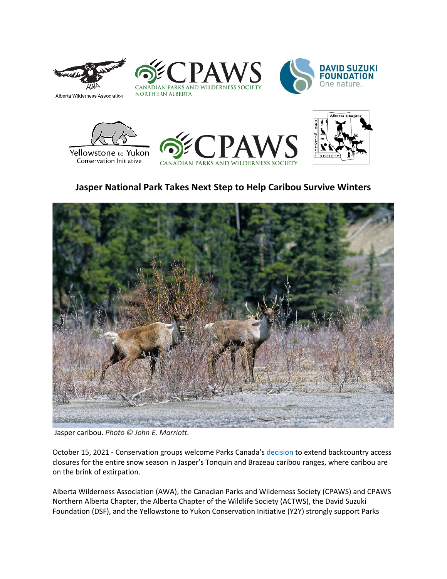

Alberta Wilderness Association











## **Jasper National Park Takes Next Step to Help Caribou Survive Winters**



Jasper caribou. *Photo © John E. Marriott.*

October 15, 2021 - Conservation groups welcome Parks Canada's [decision](https://www.pc.gc.ca/en/pn-np/ab/jasper/nature/conservation/mesuresap-bcactions) to extend backcountry access closures for the entire snow season in Jasper's Tonquin and Brazeau caribou ranges, where caribou are on the brink of extirpation.

Alberta Wilderness Association (AWA), the Canadian Parks and Wilderness Society (CPAWS) and CPAWS Northern Alberta Chapter, the Alberta Chapter of the Wildlife Society (ACTWS), the David Suzuki Foundation (DSF), and the Yellowstone to Yukon Conservation Initiative (Y2Y) strongly support Parks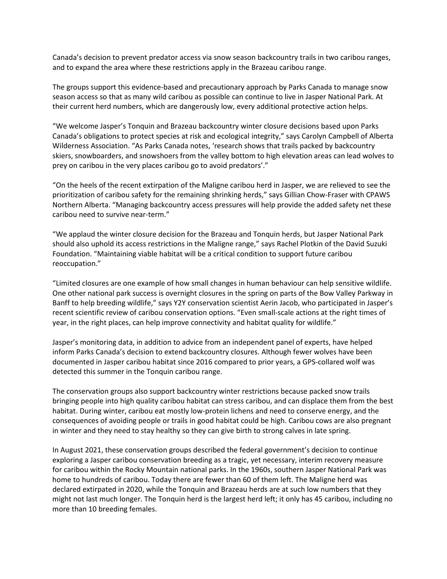Canada's decision to prevent predator access via snow season backcountry trails in two caribou ranges, and to expand the area where these restrictions apply in the Brazeau caribou range.

The groups support this evidence-based and precautionary approach by Parks Canada to manage snow season access so that as many wild caribou as possible can continue to live in Jasper National Park. At their current herd numbers, which are dangerously low, every additional protective action helps.

"We welcome Jasper's Tonquin and Brazeau backcountry winter closure decisions based upon Parks Canada's obligations to protect species at risk and ecological integrity," says Carolyn Campbell of Alberta Wilderness Association. "As Parks Canada notes, 'research shows that trails packed by backcountry skiers, snowboarders, and snowshoers from the valley bottom to high elevation areas can lead wolves to prey on caribou in the very places caribou go to avoid predators'."

"On the heels of the recent extirpation of the Maligne caribou herd in Jasper, we are relieved to see the prioritization of caribou safety for the remaining shrinking herds," says Gillian Chow-Fraser with CPAWS Northern Alberta. "Managing backcountry access pressures will help provide the added safety net these caribou need to survive near-term."

"We applaud the winter closure decision for the Brazeau and Tonquin herds, but Jasper National Park should also uphold its access restrictions in the Maligne range," says Rachel Plotkin of the David Suzuki Foundation. "Maintaining viable habitat will be a critical condition to support future caribou reoccupation."

"Limited closures are one example of how small changes in human behaviour can help sensitive wildlife. One other national park success is overnight closures in the spring on parts of the Bow Valley Parkway in Banff to help breeding wildlife," says Y2Y conservation scientist Aerin Jacob, who participated in Jasper's recent scientific review of caribou conservation options. "Even small-scale actions at the right times of year, in the right places, can help improve connectivity and habitat quality for wildlife."

Jasper's monitoring data, in addition to advice from an independent panel of experts, have helped inform Parks Canada's decision to extend backcountry closures. Although fewer wolves have been documented in Jasper caribou habitat since 2016 compared to prior years, a GPS-collared wolf was detected this summer in the Tonquin caribou range.

The conservation groups also support backcountry winter restrictions because packed snow trails bringing people into high quality caribou habitat can stress caribou, and can displace them from the best habitat. During winter, caribou eat mostly low-protein lichens and need to conserve energy, and the consequences of avoiding people or trails in good habitat could be high. Caribou cows are also pregnant in winter and they need to stay healthy so they can give birth to strong calves in late spring.

In August 2021, these conservation groups described the federal government's decision to continue exploring a Jasper caribou conservation breeding as a tragic, yet necessary, interim recovery measure for caribou within the Rocky Mountain national parks. In the 1960s, southern Jasper National Park was home to hundreds of caribou. Today there are fewer than 60 of them left. The Maligne herd was declared extirpated in 2020, while the Tonquin and Brazeau herds are at such low numbers that they might not last much longer. The Tonquin herd is the largest herd left; it only has 45 caribou, including no more than 10 breeding females.